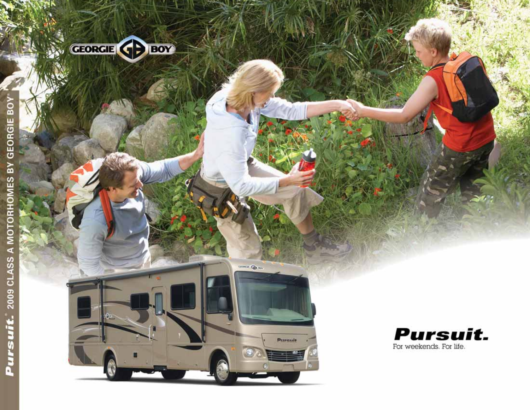

LEONARD COM

**Privenil** 

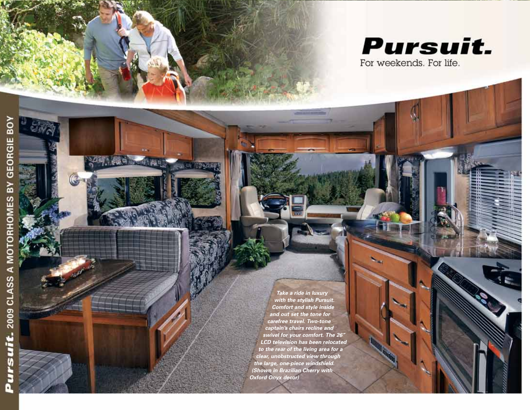

碌

a a

**AN CHANNER** 

**Take a ride in luxury with the stylish Pursuit. Comfort and style inside and out set the tone for carefree travel. Two-tone captain's chairs recline and swivel for your comfort. The 26" LCD television has been relocated to the rear of the living area for a clear, unobstructed view through the large, one-piece windshield. (Shown in Brazilian Cherry with Oxford Onyx decor)**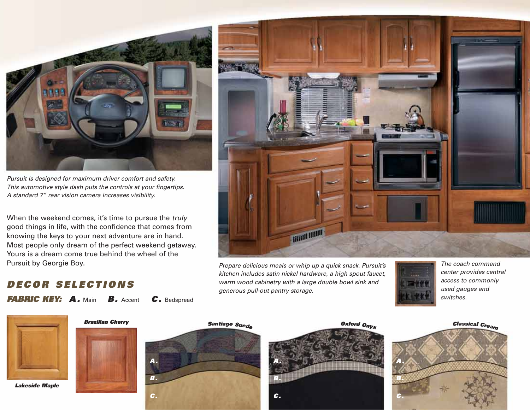

Pursuit is designed for maximum driver comfort and safety. This automotive style dash puts the controls at your fingertips. A standard 7" rear vision camera increases visibility.

When the weekend comes, it's time to pursue the truly good things in life, with the confidence that comes from knowing the keys to your next adventure are in hand. Most people only dream of the perfect weekend getaway. Yours is a dream come true behind the wheel of the Pursuit by Georgie Boy.

FABRIC KEY: A. Main B. Accent C. Bedspread

DECOR SELECTIONS

# **Tituli Illium**

Prepare delicious meals or whip up a quick snack. Pursuit's kitchen includes satin nickel hardware, a high spout faucet, warm wood cabinetry with a large double bowl sink and generous pull-out pantry storage.



The coach command center provides central access to commonly used gauges and switches.



Lakeside Maple







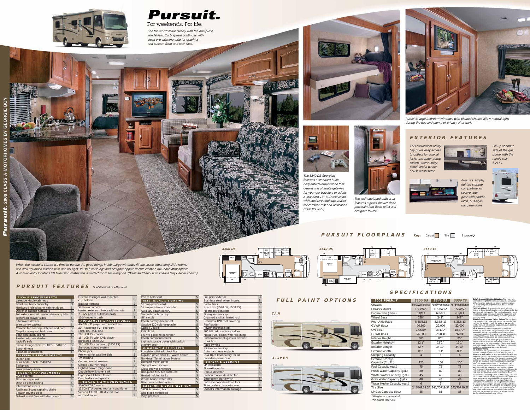

The well equipped bath area features a glass shower door, porcelain foot-flush toilet and designer faucet.





Pursuit's ample, lighted storage compartments secure your gear with paddle latch, bus-style baggage doors.

This convenient utility bay gives easy access to outlets for coaxial jacks, the water pump switch, water utility panel, and a whole house water filter.



Fill up at either side of the gas pump with the handy rear fuel fill.



Pursuit's large bedroom windows with pleated shades allow natural light during the day and plenty of privacy after dark.





See the world more clearly with the one-piece windshield. Curb appeal continues with sleek eye-catching exterior graphics and custom front and rear caps.

**ALL AT** 

**A Bad Provide** 

# **EXTERIOR FEATURES**



The 3540 DS floorplan features a standard bunk bed/ entertainment zone that creates the ultimate getaway for younger travelers or adults. A standard 15" LCD television with auxiliary hook ups makes for carefree rest and recreation. (3540 DS only)

permissible weight of the unit, including the UVW plus all fluids, cargo, optional equipment and accessories. For safety and product performance, do not exceed the GVWR.

**27"**  $\mathbf{L}$ 

Convection microwave Sealed 3-burner range Lighted power range hood Double bowl kitchen sink High spout kitchen faucet Double door refrigerator **HEATING & AIR CONDITIONING**

30,000 BTU furnace 13,500 BTU ducted roof air conditioner Second 13,500 BTU ducted roof air conditioner



# **PURSUIT FEATURES** S = Standard O = Optional

**SILVER**





**TAN** 



**26" LCD TV**

DH<br>吉

**OHC QUEEN WALL BED 60'' x 74''**

**PANTRY**

**LINEN CLOSET**

**Key:** Carpet Tile Storage  $\nabla$ 

**SHOWER**



**MICRO REFER OHC**

**ENTRY OHC**

**OHC DINETTE 42 x 72**

 $\frac{\nabla}{\nabla}$ 

**SOFA OHC**

- CW (Curb Weight): The weight of the unit without<br>factory or dealer installed options, plus allowance for the<br>weight of full fuel capacity. The "payload capacity" for all<br>other fluids, cargo, occupants, optional equipment a
- feature the "wide body" design concept, which gives<br>you significantly enhanced interior living space and<br>innovative floorplans. In mating your purchase decision,<br>you should be aware that a few states restrict access<br>on som

All capacities are approximate, and all dimensions are<br>nominal. Georgie Boy motorhomes are designed to<br>allow for a wide variety of uses, extended trips with two<br>people or short trips with multiple people. Accordingly,<br>each

it is not intended that all seating positions equipped with<br>a is not intended that all seating positions equipped winding, without regard to other weight factors. All<br>Georgie Boy motorhomes are designed to ensure that<br>the

**26" LCD TV W/ DVD**

> **JACK KNIFE SOFA OHC**

**JACK KNIFE SOFA OHC**

**ENT. CENTER**

**3550 TS**

## **PURSUIT FLOORPLANS**

Driver/passenger wall mounted

Surround sound system Phone jack Pre-wired for satellite dish TV antenna

**SPECIFICATIONS**

| PAINT OPTIONS<br>FULL | <b>2009 PURSUIT</b>                           | 3100 DS        | 3540 DS   | 3550 TS                                      | GVWR (Gross Vehicle Weight Rating): The<br>permissible weight of the unit, including th                                                                                            |
|-----------------------|-----------------------------------------------|----------------|-----------|----------------------------------------------|------------------------------------------------------------------------------------------------------------------------------------------------------------------------------------|
|                       | Chassis                                       |                |           | Ford/Workhorse Ford/Workhorse Ford/Workhorse | all fluids, cargo, optional equipment and ad<br>For safety and product performance, do no<br>the GVWR.                                                                             |
|                       | <b>Chassis Model</b>                          | F-53/W20       | F-53/W22  | F-53/W22                                     | CW (Curb Weight): The weight of the unit v<br>factory or dealer installed options, plus allo                                                                                       |
|                       | Engine Size (liters)                          | 6.8/8.1        | 6.8/8.1   | 6.8/8.1                                      | weight of full fuel capacity. The "payload ca<br>other fluids, cargo, occupants, optional equ                                                                                      |
|                       | <b>Wheel Base</b>                             | 228"           | 242"      | 242"                                         | accessories can be determined by subtracti<br>from the GVWR.                                                                                                                       |
|                       | Rear Axle Ratio                               | 5.38/5.13      | 5.38/5.13 | 5.38/5.13                                    | <b>GCWR (Gross Combined Weight Rating): T</b><br>total weight of the loaded unit, plus a tow<br>includes the weight of both the unit and to                                        |
|                       | GVWR (lbs.)                                   | 20,500         | 22,000    | 22,000                                       | fuel for each, all other fluids, cargo, occupa<br>equipment and accessories.                                                                                                       |
|                       | CW (lbs.)                                     | 17,580*        | 18,410*   | 18,770*                                      | Wider Widths: Numerous Georgie Boy floo<br>feature the "wide body" design concept, wh                                                                                              |
|                       | GCWR (lbs.)                                   | 26,000         | 26,000    | 26,000                                       | you significantly enhanced interior living sp<br>innovative floorplans. In making your purci                                                                                       |
|                       | Interior Height                               | 80"            | 80"       | 80"                                          | you should be aware that a few states restr<br>on some or all roads within the state to vel<br>a maximum 96" width, although special roa                                           |
|                       | Exterior Height**                             | 12'1''         | 12'1''    | 12'1''                                       | permits may be available. Vehicles up to 10<br>are permitted in the vast majority of states.                                                                                       |
|                       | <b>Exterior Length</b>                        | 32'7''         | 34'10"    | 34'10"                                       | confirm the road usage laws in the states o<br>you before making your purchase decision                                                                                            |
|                       | <b>Exterior Width</b>                         | 8'3''          | 8'3''     | 8'3''                                        | <b>IMPORTANT NOTE:</b><br>All capacities are approximate, and all dim-<br>nominal. Georgie Boy motorhomes are des                                                                  |
|                       | <b>Sleeping Capacity</b>                      | $\overline{4}$ | 5         | 6                                            | allow for a wide variety of uses, extended t<br>people or short trips with multiple people.                                                                                        |
| <b>ILVER</b>          | <b>Exterior Storage</b><br>Capacity (Cu. Ft.) | 120            | 150       | 150                                          | each unit allows ample room for sleeping,<br>and cargo. While the customer is the benef<br>design, the customer also bears the respon<br>select the proper combination of passenge |
|                       | Fuel Capacity (gal.)                          | 75             | 75        | 75                                           | load, and tow vehicle without exceeding th<br>weight capabilities. Consumer may need a                                                                                             |
|                       | Fresh Water Capacity (gal.)                   | 80             | 80        | 80                                           | braking capacity to tow loads greater than<br>Seat belts should always be worn for passe                                                                                           |
|                       | Waste Water Capacity (gal.)                   | 45             | 45        | 45                                           | Seat belts are provided at most locations to<br>convenience in selecting which seat to occu<br>it is not intended that all seating positions                                       |
|                       | Grey Water Capacity (gal.)                    | 48             | 48        | 48                                           | a seat belt may be occupied while the vehi-<br>motion, without regard to other weight fact                                                                                         |
|                       | Water Heater Capacity (gal.)                  | 6              | 6         | 6                                            | Georgie Boy motorhomes are designed to<br>the number of passengers allowed while th                                                                                                |
|                       | <b>Tire Size</b>                              | 245/70R19.5F   |           | 245/70R19.5F 245/70R19.5F                    | in motion will always at least equal the stat<br>capacity. Though extra seat belts may be p                                                                                        |
|                       | LP Gas Capacity (lbs.)                        | 85             | 85        | 85                                           | your safety and the proper operation of you<br>limit your passengers to the number allow<br>Net Carrying Capacity of your vehicle.                                                 |

| cup holders                         | S |
|-------------------------------------|---|
| Back-up camera                      | S |
| Sideview camera                     | S |
| Heated exterior mirrors with remote | S |
| 2 - 12V power outlets in dash       | S |
| 110V outlet in dash                 | S |
| <b>APPLIANCES &amp; ACCESSORIES</b> |   |
|                                     |   |
| AM/FM CD player with 4 speakers     | S |
| 20" flatscreen TV - bedroom         |   |
| (3100 DS, 3540 DS)                  | O |
| 26" LCD TV - coach                  | S |
| 15" LCD TV with DVD player -        |   |
| bunk area (3540 DS)                 | S |

| ELECTRICAL & LIGHTING                   |                              |
|-----------------------------------------|------------------------------|
| 50 amp power cord                       | S                            |
| 55 amp electronic converter             | S                            |
| Auxiliary coach battery                 | $\overline{\mathsf{s}}$      |
| Second coach battery                    | $\overline{s}$               |
| <b>GFI circuit</b>                      | $\overline{s}$               |
| Coach battery disconnect                | $\overline{\mathsf{S}}$      |
| Outside 120-volt receptacle             | $\overline{s}$               |
| Cable TV jacks                          | $\overline{s}$               |
| Patio light                             | $\overline{s}$               |
| 6.5 KW gasoline generator               | $\overline{\mathsf{S}}$      |
| Coach command center                    | $\overline{s}$               |
| Lighted storage boxes with switch       |                              |
| at entry door                           | S                            |
|                                         |                              |
| <b>PLUMBING &amp; LP SYSTEM</b>         |                              |
| Porcelain toilet with foot flush        | S                            |
| 6-gallon gas/electric E.I. water heater | $\overline{s}$               |
| No-Mess <sup>™</sup> Termination System | $\overline{s}$               |
| Demand water pump                       | $\overline{s}$               |
| Skylight over shower                    | $\overline{s}$               |
| Glass shower enclosure                  | $\overline{s}$               |
| One-piece ABS tub surround              | $\overline{\mathsf{s}}$      |
| <b>Heated holding tanks</b>             | $\overline{s}$               |
| Whole house water filter                | $\overline{s}$               |
| Black tank flusher system               | $\overline{s}$               |
| <b>EXTERIOR &amp; CONSTRUCTION</b>      |                              |
| 5,000 lb. towing hitch                  | S<br>$\overline{\mathsf{s}}$ |

Vinyl graphics Sandwich State Structure Structure Structure Structure Structure Structure Structure Structure S

Power bath vent

Full paint exterior Stainless steel wheel inserts Stainless steel wheel inserts Radial tires Spare tire (3540 DS, 3550 TS) S<br>Fiberalass front cap S Fiberglass front cap Fiberglass rear cap S Crowned and laminated roof S Seamless TPO roof covering S Roof ladder S Power entrance step S 80" tall radius entrance door<br>Metal trunk boxes with felt lining S Metal trunk boxes with felt lining Entertainment plug-ins in exterior trunk box Patio awning Sample Sample Sample Sample Sample Sample Sample Sample Sample Sample Sample Sample Sample Sample Slideroom awnings S Automatic leveling jacks S CSA Upfit (mandatory for all Canadian provinces) Canadian O **SAFETY & SECURITY** LP leak alarm Fire extinguisher Smoke detector S<br>Carbon monoxide detector S Carbon monoxide detector Emergency start switch S

Entrance door dead bolt lock S

Owner's information package S

Tinted safety glass windows

| <b>LIVING APPOINTMENTS</b>                |                                 |  |
|-------------------------------------------|---------------------------------|--|
| Lakeside Maple cabinetry                  | $rac{S}{O}$                     |  |
| <b>Brazilian Cherry cabinetry</b>         |                                 |  |
| Hardwood raised panel cabinet doors       |                                 |  |
| Designer cabinet hardware                 |                                 |  |
| Full extension ball bearing drawer guides |                                 |  |
| <b>Techwood drawer sides</b>              |                                 |  |
| Silverware drawer                         |                                 |  |
| Wire pantry baskets                       |                                 |  |
| Ceramic tile flooring - kitchen and bath  |                                 |  |
| Carpet - living and bedroom               | s  s  s  s  s  s  s  s  s  s  s |  |
| Vinyl soft touch ceiling                  |                                 |  |
| Pleated window shades                     |                                 |  |
| Jacknife sofa                             |                                 |  |
| Swivel lounge chair (3100 DS, 3540 DS)    |                                 |  |
| <b>Booth dinette</b>                      |                                 |  |
| Polished countertops                      |                                 |  |
| <b>SLEEPING APPOINTMENTS</b>              |                                 |  |
| Queen bed                                 |                                 |  |
| Bunk beds in hall (3540 DS)               | $\frac{S}{S}$                   |  |
| <b>Bedspread</b>                          |                                 |  |
| Front privacy drape                       |                                 |  |
| <b>COCKPIT APPOINTMENTS</b>               |                                 |  |
| Cruise control                            |                                 |  |
| Tilt steering wheel                       |                                 |  |
| Dash air conditioning                     |                                 |  |
| Intermittent wipers                       | $\frac{S}{S}$ $\frac{S}{S}$     |  |
| Reclining 2-tone captains chairs          |                                 |  |
| (Power driver's side)                     |                                 |  |
| Defrost assist fans with dash switch      | S                               |  |